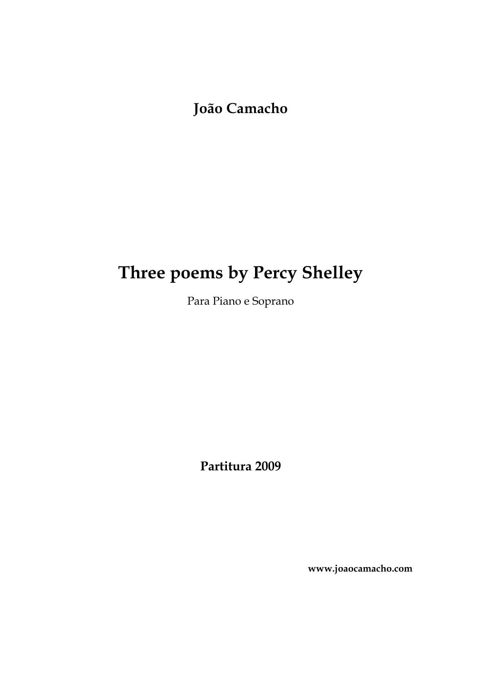**João Camacho**

## **Three poems by Percy Shelley**

Para Piano e Soprano

**Partitura 2009**

**www.joaocamacho.com**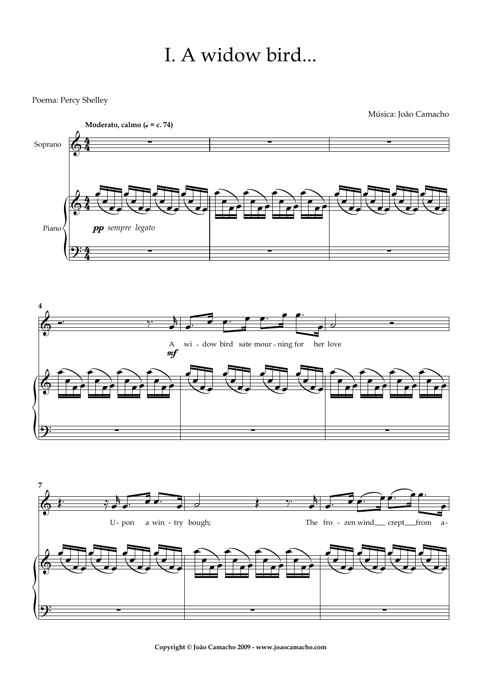## I. A widow bird...

Poema: Percy Shelley

 ${\bf \hat{z}}$ 



? ∑ ∑ ∑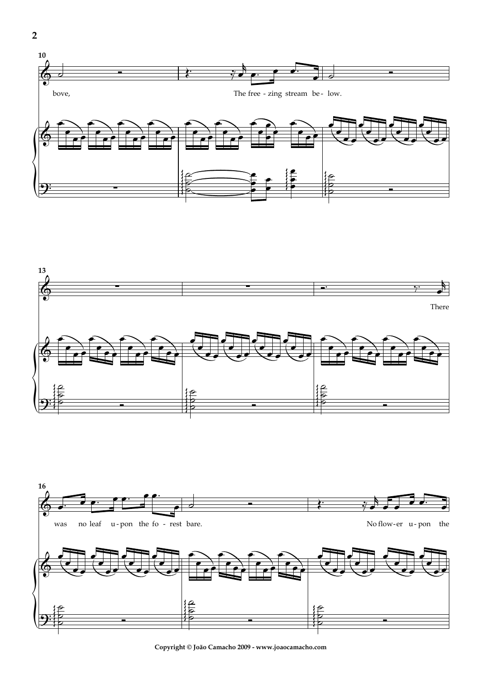





**Copyright © João Camacho 2009 - www.joaocamacho.com**

**2**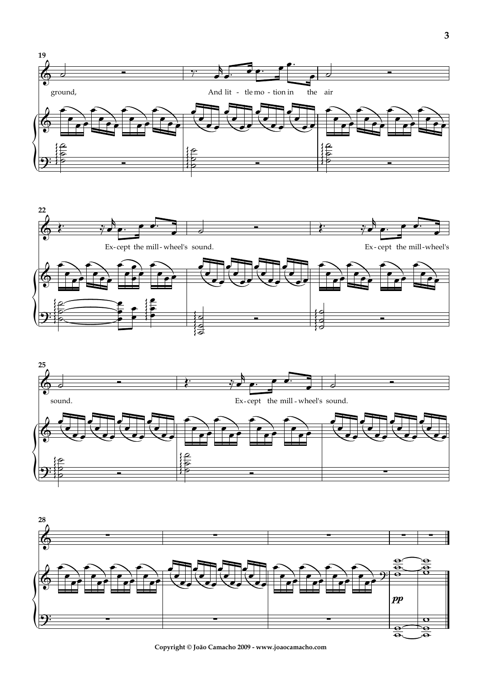







**Copyright © João Camacho 2009 - www.joaocamacho.com**